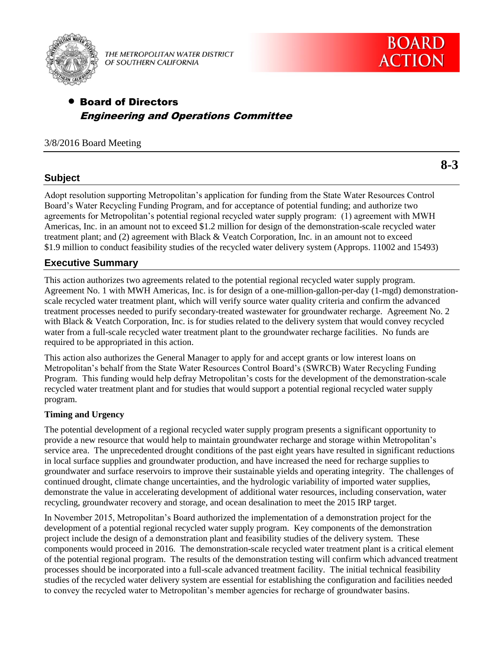

THE METROPOLITAN WATER DISTRICT OF SOUTHERN CALIFORNIA

# Board of Directors Engineering and Operations Committee

# 3/8/2016 Board Meeting

**8-3**

# **Subject**

Adopt resolution supporting Metropolitan's application for funding from the State Water Resources Control Board's Water Recycling Funding Program, and for acceptance of potential funding; and authorize two agreements for Metropolitan's potential regional recycled water supply program: (1) agreement with MWH Americas, Inc. in an amount not to exceed \$1.2 million for design of the demonstration-scale recycled water treatment plant; and (2) agreement with Black & Veatch Corporation, Inc. in an amount not to exceed \$1.9 million to conduct feasibility studies of the recycled water delivery system (Approps. 11002 and 15493)

# **Executive Summary**

This action authorizes two agreements related to the potential regional recycled water supply program. Agreement No. 1 with MWH Americas, Inc. is for design of a one-million-gallon-per-day (1-mgd) demonstrationscale recycled water treatment plant, which will verify source water quality criteria and confirm the advanced treatment processes needed to purify secondary-treated wastewater for groundwater recharge. Agreement No. 2 with Black & Veatch Corporation, Inc. is for studies related to the delivery system that would convey recycled water from a full-scale recycled water treatment plant to the groundwater recharge facilities. No funds are required to be appropriated in this action.

This action also authorizes the General Manager to apply for and accept grants or low interest loans on Metropolitan's behalf from the State Water Resources Control Board's (SWRCB) Water Recycling Funding Program. This funding would help defray Metropolitan's costs for the development of the demonstration-scale recycled water treatment plant and for studies that would support a potential regional recycled water supply program.

# **Timing and Urgency**

The potential development of a regional recycled water supply program presents a significant opportunity to provide a new resource that would help to maintain groundwater recharge and storage within Metropolitan's service area. The unprecedented drought conditions of the past eight years have resulted in significant reductions in local surface supplies and groundwater production, and have increased the need for recharge supplies to groundwater and surface reservoirs to improve their sustainable yields and operating integrity. The challenges of continued drought, climate change uncertainties, and the hydrologic variability of imported water supplies, demonstrate the value in accelerating development of additional water resources, including conservation, water recycling, groundwater recovery and storage, and ocean desalination to meet the 2015 IRP target.

In November 2015, Metropolitan's Board authorized the implementation of a demonstration project for the development of a potential regional recycled water supply program. Key components of the demonstration project include the design of a demonstration plant and feasibility studies of the delivery system. These components would proceed in 2016. The demonstration-scale recycled water treatment plant is a critical element of the potential regional program. The results of the demonstration testing will confirm which advanced treatment processes should be incorporated into a full-scale advanced treatment facility. The initial technical feasibility studies of the recycled water delivery system are essential for establishing the configuration and facilities needed to convey the recycled water to Metropolitan's member agencies for recharge of groundwater basins.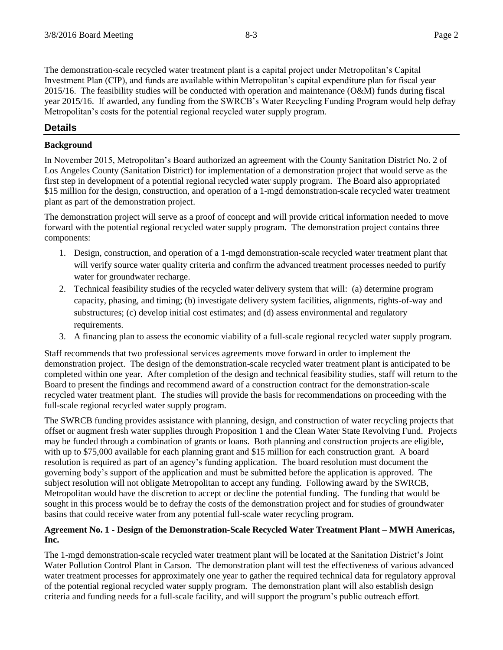The demonstration-scale recycled water treatment plant is a capital project under Metropolitan's Capital Investment Plan (CIP), and funds are available within Metropolitan's capital expenditure plan for fiscal year  $2015/16$ . The feasibility studies will be conducted with operation and maintenance (O&M) funds during fiscal year 2015/16. If awarded, any funding from the SWRCB's Water Recycling Funding Program would help defray Metropolitan's costs for the potential regional recycled water supply program.

# **Details**

## **Background**

In November 2015, Metropolitan's Board authorized an agreement with the County Sanitation District No. 2 of Los Angeles County (Sanitation District) for implementation of a demonstration project that would serve as the first step in development of a potential regional recycled water supply program. The Board also appropriated \$15 million for the design, construction, and operation of a 1-mgd demonstration-scale recycled water treatment plant as part of the demonstration project.

The demonstration project will serve as a proof of concept and will provide critical information needed to move forward with the potential regional recycled water supply program. The demonstration project contains three components:

- 1. Design, construction, and operation of a 1-mgd demonstration-scale recycled water treatment plant that will verify source water quality criteria and confirm the advanced treatment processes needed to purify water for groundwater recharge.
- 2. Technical feasibility studies of the recycled water delivery system that will: (a) determine program capacity, phasing, and timing; (b) investigate delivery system facilities, alignments, rights-of-way and substructures; (c) develop initial cost estimates; and (d) assess environmental and regulatory requirements.
- 3. A financing plan to assess the economic viability of a full-scale regional recycled water supply program.

Staff recommends that two professional services agreements move forward in order to implement the demonstration project. The design of the demonstration-scale recycled water treatment plant is anticipated to be completed within one year. After completion of the design and technical feasibility studies, staff will return to the Board to present the findings and recommend award of a construction contract for the demonstration-scale recycled water treatment plant. The studies will provide the basis for recommendations on proceeding with the full-scale regional recycled water supply program.

The SWRCB funding provides assistance with planning, design, and construction of water recycling projects that offset or augment fresh water supplies through Proposition 1 and the Clean Water State Revolving Fund. Projects may be funded through a combination of grants or loans. Both planning and construction projects are eligible, with up to \$75,000 available for each planning grant and \$15 million for each construction grant. A board resolution is required as part of an agency's funding application. The board resolution must document the governing body's support of the application and must be submitted before the application is approved. The subject resolution will not obligate Metropolitan to accept any funding. Following award by the SWRCB, Metropolitan would have the discretion to accept or decline the potential funding. The funding that would be sought in this process would be to defray the costs of the demonstration project and for studies of groundwater basins that could receive water from any potential full-scale water recycling program.

### **Agreement No. 1 - Design of the Demonstration-Scale Recycled Water Treatment Plant – MWH Americas, Inc.**

The 1-mgd demonstration-scale recycled water treatment plant will be located at the Sanitation District's Joint Water Pollution Control Plant in Carson. The demonstration plant will test the effectiveness of various advanced water treatment processes for approximately one year to gather the required technical data for regulatory approval of the potential regional recycled water supply program. The demonstration plant will also establish design criteria and funding needs for a full-scale facility, and will support the program's public outreach effort.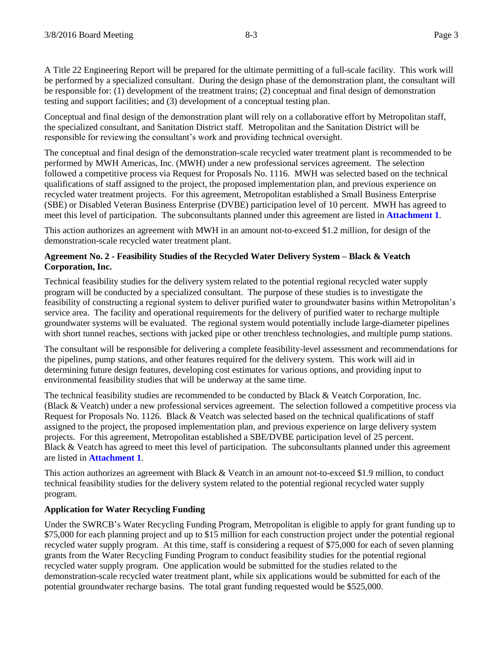A Title 22 Engineering Report will be prepared for the ultimate permitting of a full-scale facility. This work will be performed by a specialized consultant. During the design phase of the demonstration plant, the consultant will be responsible for: (1) development of the treatment trains; (2) conceptual and final design of demonstration testing and support facilities; and (3) development of a conceptual testing plan.

Conceptual and final design of the demonstration plant will rely on a collaborative effort by Metropolitan staff, the specialized consultant, and Sanitation District staff. Metropolitan and the Sanitation District will be responsible for reviewing the consultant's work and providing technical oversight.

The conceptual and final design of the demonstration-scale recycled water treatment plant is recommended to be performed by MWH Americas, Inc. (MWH) under a new professional services agreement. The selection followed a competitive process via Request for Proposals No. 1116. MWH was selected based on the technical qualifications of staff assigned to the project, the proposed implementation plan, and previous experience on recycled water treatment projects. For this agreement, Metropolitan established a Small Business Enterprise (SBE) or Disabled Veteran Business Enterprise (DVBE) participation level of 10 percent. MWH has agreed to meet this level of participation. The subconsultants planned under this agreement are listed in **Attachment 1**.

This action authorizes an agreement with MWH in an amount not-to-exceed \$1.2 million, for design of the demonstration-scale recycled water treatment plant.

### **Agreement No. 2 - Feasibility Studies of the Recycled Water Delivery System – Black & Veatch Corporation, Inc.**

Technical feasibility studies for the delivery system related to the potential regional recycled water supply program will be conducted by a specialized consultant. The purpose of these studies is to investigate the feasibility of constructing a regional system to deliver purified water to groundwater basins within Metropolitan's service area. The facility and operational requirements for the delivery of purified water to recharge multiple groundwater systems will be evaluated. The regional system would potentially include large-diameter pipelines with short tunnel reaches, sections with jacked pipe or other trenchless technologies, and multiple pump stations.

The consultant will be responsible for delivering a complete feasibility-level assessment and recommendations for the pipelines, pump stations, and other features required for the delivery system. This work will aid in determining future design features, developing cost estimates for various options, and providing input to environmental feasibility studies that will be underway at the same time.

The technical feasibility studies are recommended to be conducted by Black & Veatch Corporation, Inc. (Black & Veatch) under a new professional services agreement. The selection followed a competitive process via Request for Proposals No. 1126. Black & Veatch was selected based on the technical qualifications of staff assigned to the project, the proposed implementation plan, and previous experience on large delivery system projects. For this agreement, Metropolitan established a SBE/DVBE participation level of 25 percent. Black & Veatch has agreed to meet this level of participation. The subconsultants planned under this agreement are listed in **Attachment 1**.

This action authorizes an agreement with Black & Veatch in an amount not-to-exceed \$1.9 million, to conduct technical feasibility studies for the delivery system related to the potential regional recycled water supply program.

# **Application for Water Recycling Funding**

Under the SWRCB's Water Recycling Funding Program, Metropolitan is eligible to apply for grant funding up to \$75,000 for each planning project and up to \$15 million for each construction project under the potential regional recycled water supply program. At this time, staff is considering a request of \$75,000 for each of seven planning grants from the Water Recycling Funding Program to conduct feasibility studies for the potential regional recycled water supply program. One application would be submitted for the studies related to the demonstration-scale recycled water treatment plant, while six applications would be submitted for each of the potential groundwater recharge basins. The total grant funding requested would be \$525,000.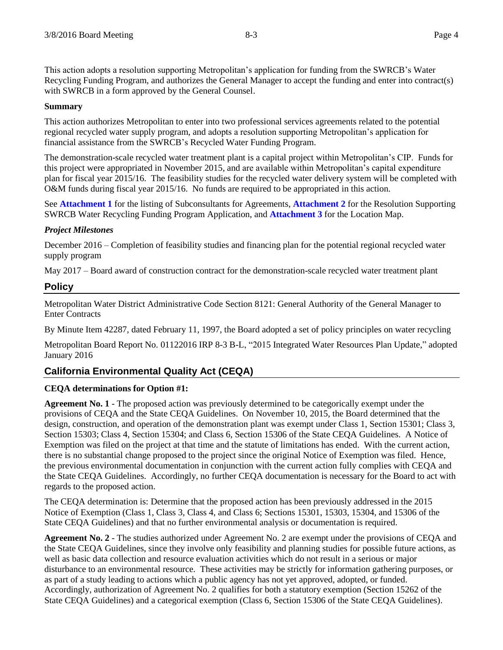This action adopts a resolution supporting Metropolitan's application for funding from the SWRCB's Water Recycling Funding Program, and authorizes the General Manager to accept the funding and enter into contract(s) with SWRCB in a form approved by the General Counsel.

## **Summary**

This action authorizes Metropolitan to enter into two professional services agreements related to the potential regional recycled water supply program, and adopts a resolution supporting Metropolitan's application for financial assistance from the SWRCB's Recycled Water Funding Program.

The demonstration-scale recycled water treatment plant is a capital project within Metropolitan's CIP. Funds for this project were appropriated in November 2015, and are available within Metropolitan's capital expenditure plan for fiscal year 2015/16. The feasibility studies for the recycled water delivery system will be completed with O&M funds during fiscal year 2015/16. No funds are required to be appropriated in this action.

See **Attachment 1** for the listing of Subconsultants for Agreements, **Attachment 2** for the Resolution Supporting SWRCB Water Recycling Funding Program Application, and **Attachment 3** for the Location Map.

### *Project Milestones*

December 2016 – Completion of feasibility studies and financing plan for the potential regional recycled water supply program

May 2017 – Board award of construction contract for the demonstration-scale recycled water treatment plant

# **Policy**

Metropolitan Water District Administrative Code Section 8121: General Authority of the General Manager to Enter Contracts

By Minute Item 42287, dated February 11, 1997, the Board adopted a set of policy principles on water recycling

Metropolitan Board Report No. 01122016 IRP 8-3 B-L, "2015 Integrated Water Resources Plan Update," adopted January 2016

# **California Environmental Quality Act (CEQA)**

# **CEQA determinations for Option #1:**

**Agreement No. 1** - The proposed action was previously determined to be categorically exempt under the provisions of CEQA and the State CEQA Guidelines. On November 10, 2015, the Board determined that the design, construction, and operation of the demonstration plant was exempt under Class 1, Section 15301; Class 3, Section 15303; Class 4, Section 15304; and Class 6, Section 15306 of the State CEQA Guidelines. A Notice of Exemption was filed on the project at that time and the statute of limitations has ended. With the current action, there is no substantial change proposed to the project since the original Notice of Exemption was filed. Hence, the previous environmental documentation in conjunction with the current action fully complies with CEQA and the State CEQA Guidelines. Accordingly, no further CEQA documentation is necessary for the Board to act with regards to the proposed action.

The CEQA determination is: Determine that the proposed action has been previously addressed in the 2015 Notice of Exemption (Class 1, Class 3, Class 4, and Class 6; Sections 15301, 15303, 15304, and 15306 of the State CEQA Guidelines) and that no further environmental analysis or documentation is required.

**Agreement No. 2** - The studies authorized under Agreement No. 2 are exempt under the provisions of CEQA and the State CEQA Guidelines, since they involve only feasibility and planning studies for possible future actions, as well as basic data collection and resource evaluation activities which do not result in a serious or major disturbance to an environmental resource. These activities may be strictly for information gathering purposes, or as part of a study leading to actions which a public agency has not yet approved, adopted, or funded. Accordingly, authorization of Agreement No. 2 qualifies for both a statutory exemption (Section 15262 of the State CEQA Guidelines) and a categorical exemption (Class 6, Section 15306 of the State CEQA Guidelines).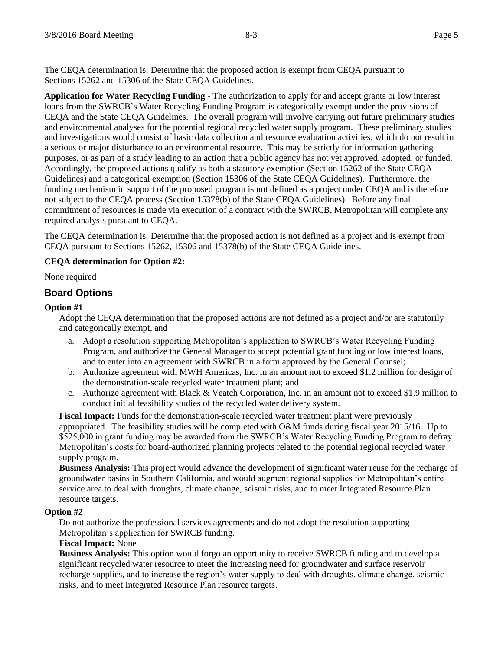The CEQA determination is: Determine that the proposed action is exempt from CEQA pursuant to Sections 15262 and 15306 of the State CEQA Guidelines.

**Application for Water Recycling Funding** - The authorization to apply for and accept grants or low interest loans from the SWRCB's Water Recycling Funding Program is categorically exempt under the provisions of CEQA and the State CEQA Guidelines. The overall program will involve carrying out future preliminary studies and environmental analyses for the potential regional recycled water supply program. These preliminary studies and investigations would consist of basic data collection and resource evaluation activities, which do not result in a serious or major disturbance to an environmental resource. This may be strictly for information gathering purposes, or as part of a study leading to an action that a public agency has not yet approved, adopted, or funded. Accordingly, the proposed actions qualify as both a statutory exemption (Section 15262 of the State CEQA Guidelines) and a categorical exemption (Section 15306 of the State CEQA Guidelines). Furthermore, the funding mechanism in support of the proposed program is not defined as a project under CEQA and is therefore not subject to the CEQA process (Section 15378(b) of the State CEQA Guidelines). Before any final commitment of resources is made via execution of a contract with the SWRCB, Metropolitan will complete any required analysis pursuant to CEQA.

The CEQA determination is: Determine that the proposed action is not defined as a project and is exempt from CEQA pursuant to Sections 15262, 15306 and 15378(b) of the State CEQA Guidelines.

# **CEQA determination for Option #2:**

None required

# **Board Options**

#### **Option #1**

Adopt the CEQA determination that the proposed actions are not defined as a project and/or are statutorily and categorically exempt, and

- a. Adopt a resolution supporting Metropolitan's application to SWRCB's Water Recycling Funding Program, and authorize the General Manager to accept potential grant funding or low interest loans, and to enter into an agreement with SWRCB in a form approved by the General Counsel;
- b. Authorize agreement with MWH Americas, Inc. in an amount not to exceed \$1.2 million for design of the demonstration-scale recycled water treatment plant; and
- c. Authorize agreement with Black & Veatch Corporation, Inc. in an amount not to exceed \$1.9 million to conduct initial feasibility studies of the recycled water delivery system.

**Fiscal Impact:** Funds for the demonstration-scale recycled water treatment plant were previously appropriated. The feasibility studies will be completed with O&M funds during fiscal year 2015/16. Up to \$525,000 in grant funding may be awarded from the SWRCB's Water Recycling Funding Program to defray Metropolitan's costs for board-authorized planning projects related to the potential regional recycled water supply program.

**Business Analysis:** This project would advance the development of significant water reuse for the recharge of groundwater basins in Southern California, and would augment regional supplies for Metropolitan's entire service area to deal with droughts, climate change, seismic risks, and to meet Integrated Resource Plan resource targets.

#### **Option #2**

Do not authorize the professional services agreements and do not adopt the resolution supporting Metropolitan's application for SWRCB funding.

#### **Fiscal Impact:** None

**Business Analysis:** This option would forgo an opportunity to receive SWRCB funding and to develop a significant recycled water resource to meet the increasing need for groundwater and surface reservoir recharge supplies, and to increase the region's water supply to deal with droughts, climate change, seismic risks, and to meet Integrated Resource Plan resource targets.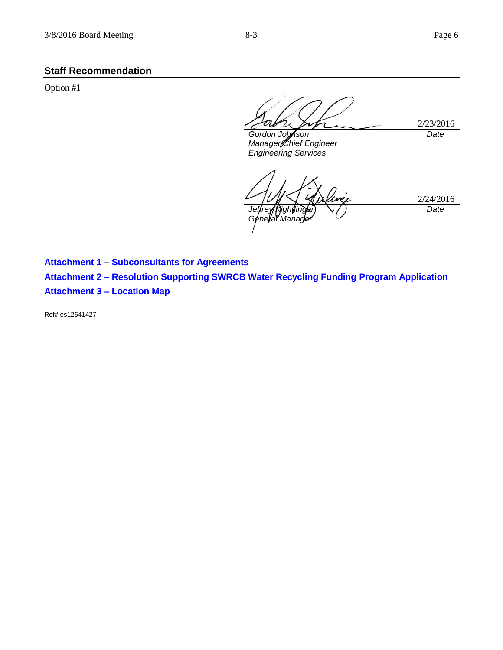# **Staff Recommendation**

Option #1

*Gordon Johnson Manager/Chief Engineer Engineering Services*

2/23/2016

*Date*

2/24/2016 *Jeffrey Kightlinger Géneral Manager Date*

**Attachment 1 – Subconsultants for Agreements Attachment 2 – Resolution Supporting SWRCB Water Recycling Funding Program Application Attachment 3 – Location Map**

Ref# es12641427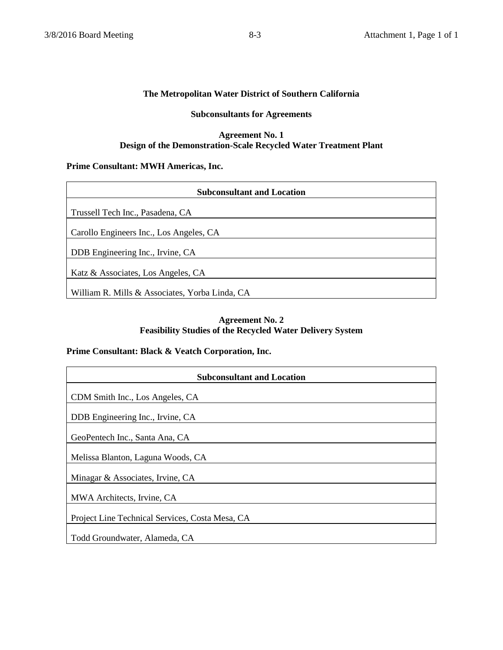### **The Metropolitan Water District of Southern California**

# **Subconsultants for Agreements**

#### **Agreement No. 1 Design of the Demonstration-Scale Recycled Water Treatment Plant**

### **Prime Consultant: MWH Americas, Inc.**

| <b>Subconsultant and Location</b>              |
|------------------------------------------------|
|                                                |
| Trussell Tech Inc., Pasadena, CA               |
| Carollo Engineers Inc., Los Angeles, CA        |
| DDB Engineering Inc., Irvine, CA               |
|                                                |
| Katz & Associates, Los Angeles, CA             |
| William R. Mills & Associates, Yorba Linda, CA |

# **Agreement No. 2 Feasibility Studies of the Recycled Water Delivery System**

### **Prime Consultant: Black & Veatch Corporation, Inc.**

| <b>Subconsultant and Location</b>               |
|-------------------------------------------------|
| CDM Smith Inc., Los Angeles, CA                 |
|                                                 |
| DDB Engineering Inc., Irvine, CA                |
| GeoPentech Inc., Santa Ana, CA                  |
| Melissa Blanton, Laguna Woods, CA               |
| Minagar & Associates, Irvine, CA                |
| MWA Architects, Irvine, CA                      |
| Project Line Technical Services, Costa Mesa, CA |
| Todd Groundwater, Alameda, CA                   |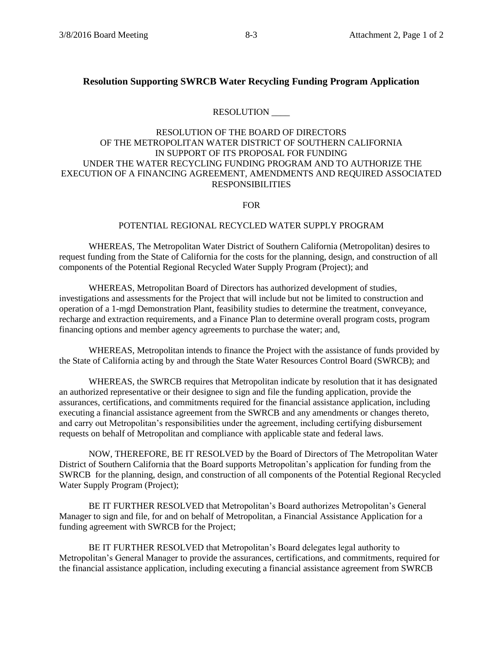# **Resolution Supporting SWRCB Water Recycling Funding Program Application**

# RESOLUTION \_\_\_\_

## RESOLUTION OF THE BOARD OF DIRECTORS OF THE METROPOLITAN WATER DISTRICT OF SOUTHERN CALIFORNIA IN SUPPORT OF ITS PROPOSAL FOR FUNDING UNDER THE WATER RECYCLING FUNDING PROGRAM AND TO AUTHORIZE THE EXECUTION OF A FINANCING AGREEMENT, AMENDMENTS AND REQUIRED ASSOCIATED RESPONSIBILITIES

FOR

### POTENTIAL REGIONAL RECYCLED WATER SUPPLY PROGRAM

WHEREAS, The Metropolitan Water District of Southern California (Metropolitan) desires to request funding from the State of California for the costs for the planning, design, and construction of all components of the Potential Regional Recycled Water Supply Program (Project); and

WHEREAS, Metropolitan Board of Directors has authorized development of studies, investigations and assessments for the Project that will include but not be limited to construction and operation of a 1-mgd Demonstration Plant, feasibility studies to determine the treatment, conveyance, recharge and extraction requirements, and a Finance Plan to determine overall program costs, program financing options and member agency agreements to purchase the water; and,

WHEREAS, Metropolitan intends to finance the Project with the assistance of funds provided by the State of California acting by and through the State Water Resources Control Board (SWRCB); and

WHEREAS, the SWRCB requires that Metropolitan indicate by resolution that it has designated an authorized representative or their designee to sign and file the funding application, provide the assurances, certifications, and commitments required for the financial assistance application, including executing a financial assistance agreement from the SWRCB and any amendments or changes thereto, and carry out Metropolitan's responsibilities under the agreement, including certifying disbursement requests on behalf of Metropolitan and compliance with applicable state and federal laws.

NOW, THEREFORE, BE IT RESOLVED by the Board of Directors of The Metropolitan Water District of Southern California that the Board supports Metropolitan's application for funding from the SWRCB for the planning, design, and construction of all components of the Potential Regional Recycled Water Supply Program (Project);

BE IT FURTHER RESOLVED that Metropolitan's Board authorizes Metropolitan's General Manager to sign and file, for and on behalf of Metropolitan, a Financial Assistance Application for a funding agreement with SWRCB for the Project;

BE IT FURTHER RESOLVED that Metropolitan's Board delegates legal authority to Metropolitan's General Manager to provide the assurances, certifications, and commitments, required for the financial assistance application, including executing a financial assistance agreement from SWRCB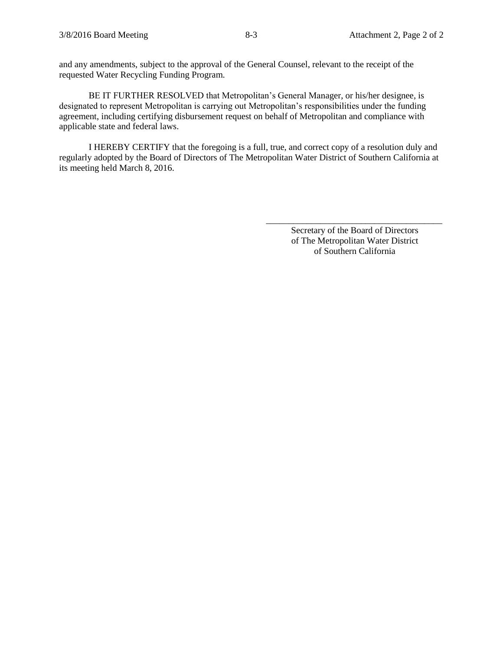and any amendments, subject to the approval of the General Counsel, relevant to the receipt of the requested Water Recycling Funding Program.

BE IT FURTHER RESOLVED that Metropolitan's General Manager, or his/her designee, is designated to represent Metropolitan is carrying out Metropolitan's responsibilities under the funding agreement, including certifying disbursement request on behalf of Metropolitan and compliance with applicable state and federal laws.

I HEREBY CERTIFY that the foregoing is a full, true, and correct copy of a resolution duly and regularly adopted by the Board of Directors of The Metropolitan Water District of Southern California at its meeting held March 8, 2016.

> Secretary of the Board of Directors of The Metropolitan Water District of Southern California

\_\_\_\_\_\_\_\_\_\_\_\_\_\_\_\_\_\_\_\_\_\_\_\_\_\_\_\_\_\_\_\_\_\_\_\_\_\_\_